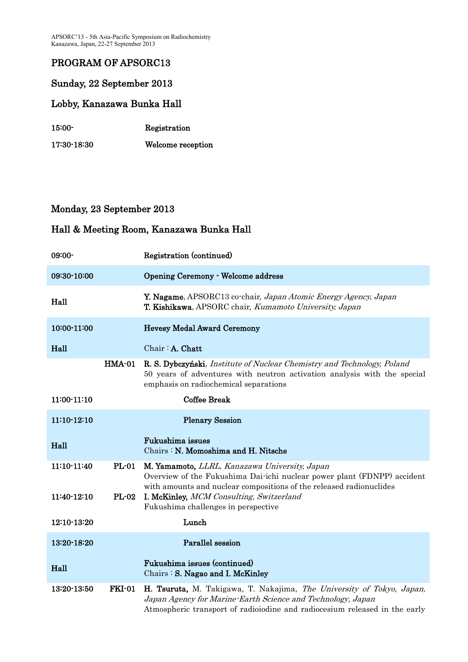APSORC'13 - 5th Asia-Pacific Symposium on Radiochemistry Kanazawa, Japan, 22-27 September 2013

## PROGRAM OF APSORC13

### Sunday, 22 September 2013

#### Lobby, Kanazawa Bunka Hall

| $15:00-$    | Registration      |
|-------------|-------------------|
| 17:30 18:30 | Welcome reception |

### Monday, 23 September 2013

| $09:00-$    |               | Registration (continued)                                                                                                                                                                                           |
|-------------|---------------|--------------------------------------------------------------------------------------------------------------------------------------------------------------------------------------------------------------------|
| 09:30-10:00 |               | <b>Opening Ceremony - Welcome address</b>                                                                                                                                                                          |
| Hall        |               | Y. Nagame, APSORC13 co-chair, Japan Atomic Energy Agency, Japan<br><b>T. Kishikawa</b> , APSORC chair, <i>Kumamoto University</i> , <i>Japan</i>                                                                   |
| 10:00-11:00 |               | <b>Hevesy Medal Award Ceremony</b>                                                                                                                                                                                 |
| Hall        |               | Chair: A. Chatt                                                                                                                                                                                                    |
|             | <b>HMA-01</b> | R. S. Dybczyński, Institute of Nuclear Chemistry and Technology, Poland<br>50 years of adventures with neutron activation analysis with the special<br>emphasis on radiochemical separations                       |
| 11:00-11:10 |               | <b>Coffee Break</b>                                                                                                                                                                                                |
| 11:10-12:10 |               | <b>Plenary Session</b>                                                                                                                                                                                             |
| Hall        |               | Fukushima issues<br>Chairs: N. Momoshima and H. Nitsche                                                                                                                                                            |
| 11:10-11:40 | <b>PL-01</b>  | M. Yamamoto, LLRL, Kanazawa University, Japan<br>Overview of the Fukushima Dai-ichi nuclear power plant (FDNPP) accident<br>with amounts and nuclear compositions of the released radionuclides                    |
| 11:40-12:10 | <b>PL-02</b>  | I. McKinley, MCM Consulting, Switzerland<br>Fukushima challenges in perspective                                                                                                                                    |
| 12:10-13:20 |               | Lunch                                                                                                                                                                                                              |
| 13:20-18:20 |               | Parallel session                                                                                                                                                                                                   |
| Hall        |               | Fukushima issues (continued)<br>Chairs: S. Nagao and I. McKinley                                                                                                                                                   |
| 13:20-13:50 | <b>FKI-01</b> | H. Tsuruta, M. Takigawa, T. Nakajima, The University of Tokyo, Japan,<br>Japan Agency for Marine-Earth Science and Technology, Japan<br>Atmospheric transport of radioiodine and radiocesium released in the early |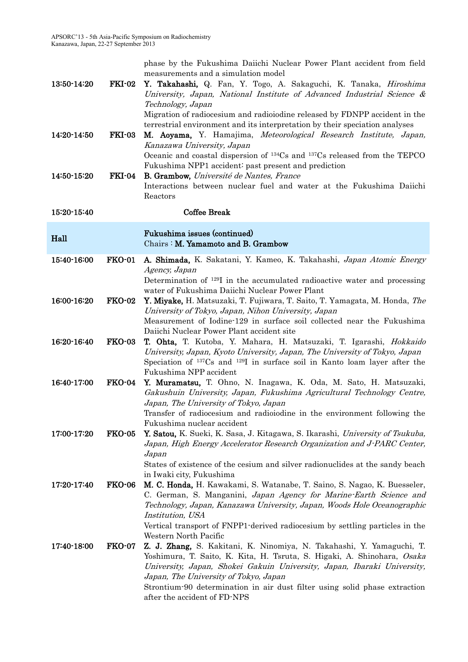phase by the Fukushima Daiichi Nuclear Power Plant accident from field measurements and a simulation model

| 13:50-14:20 | $FKI-02$      | Y. Takahashi, Q. Fan, Y. Togo, A. Sakaguchi, K. Tanaka, <i>Hiroshima</i><br>University, Japan, National Institute of Advanced Industrial Science &<br>Technology, Japan<br>Migration of radiocesium and radioiodine released by FDNPP accident in the<br>terrestrial environment and its interpretation by their speciation analyses |
|-------------|---------------|--------------------------------------------------------------------------------------------------------------------------------------------------------------------------------------------------------------------------------------------------------------------------------------------------------------------------------------|
| 14:20 14:50 | <b>FKI-03</b> | M. Aoyama, Y. Hamajima, Meteorological Research Institute, Japan,<br>Kanazawa University, Japan<br>Oceanic and coastal dispersion of <sup>134</sup> Cs and <sup>137</sup> Cs released from the TEPCO<br>Fukushima NPP1 accident: past present and prediction                                                                         |
| 14:50-15:20 | FKI 04        | <b>B. Grambow, Université de Nantes, France</b><br>Interactions between nuclear fuel and water at the Fukushima Daiichi<br>Reactors                                                                                                                                                                                                  |
| 15:20-15:40 |               | <b>Coffee Break</b>                                                                                                                                                                                                                                                                                                                  |
| Hall        |               | Fukushima issues (continued)<br>Chairs: M. Yamamoto and B. Grambow                                                                                                                                                                                                                                                                   |
| 15:40-16:00 | <b>FKO-01</b> | A. Shimada, K. Sakatani, Y. Kameo, K. Takahashi, Japan Atomic Energy<br>Agency, Japan                                                                                                                                                                                                                                                |
|             |               | Determination of <sup>129</sup> I in the accumulated radioactive water and processing<br>water of Fukushima Daiichi Nuclear Power Plant                                                                                                                                                                                              |
| 16:00-16:20 | <b>FKO-02</b> | Y. Miyake, H. Matsuzaki, T. Fujiwara, T. Saito, T. Yamagata, M. Honda, The<br>University of Tokyo, Japan, Nihon University, Japan<br>Measurement of Iodine-129 in surface soil collected near the Fukushima                                                                                                                          |
|             |               | Daiichi Nuclear Power Plant accident site                                                                                                                                                                                                                                                                                            |
| 16:20-16:40 | <b>FKO-03</b> | T. Ohta, T. Kutoba, Y. Mahara, H. Matsuzaki, T. Igarashi, Hokkaido<br>University, Japan, Kyoto University, Japan, The University of Tokyo, Japan<br>Speciation of <sup>137</sup> Cs and <sup>129</sup> I in surface soil in Kanto loam layer after the<br>Fukushima NPP accident                                                     |
| 16:40-17:00 | <b>FKO-04</b> | Y. Muramatsu, T. Ohno, N. Inagawa, K. Oda, M. Sato, H. Matsuzaki,<br>Gakushuin University, Japan, Fukushima Agricultural Technology Centre,<br>Japan, The University of Tokyo, Japan<br>Transfer of radiocesium and radioiodine in the environment following the                                                                     |
|             |               | Fukushima nuclear accident                                                                                                                                                                                                                                                                                                           |
| 17:00-17:20 | <b>FKO-05</b> | Y. Satou, K. Sueki, K. Sasa, J. Kitagawa, S. Ikarashi, University of Tsukuba,<br>Japan, High Energy Accelerator Research Organization and J-PARC Center,<br>Japan                                                                                                                                                                    |
|             |               | States of existence of the cesium and silver radionuclides at the sandy beach<br>in Iwaki city, Fukushima                                                                                                                                                                                                                            |
| 17:20-17:40 | <b>FKO-06</b> | M. C. Honda, H. Kawakami, S. Watanabe, T. Saino, S. Nagao, K. Buesseler,<br>C. German, S. Manganini, Japan Agency for Marine-Earth Science and<br>Technology, Japan, Kanazawa University, Japan, Woods Hole Oceanographic<br>Institution, USA<br>Vertical transport of FNPP1 derived radiocesium by settling particles in the        |
|             |               | Western North Pacific                                                                                                                                                                                                                                                                                                                |
| 17:40-18:00 | <b>FKO-07</b> | Z. J. Zhang, S. Kakitani, K. Ninomiya, N. Takahashi, Y. Yamaguchi, T.<br>Yoshimura, T. Saito, K. Kita, H. Tsruta, S. Higaki, A. Shinohara, Osaka<br>University, Japan, Shokei Gakuin University, Japan, Ibaraki University,<br>Japan, The University of Tokyo, Japan                                                                 |
|             |               | Strontium-90 determination in air dust filter using solid phase extraction<br>after the accident of FD-NPS                                                                                                                                                                                                                           |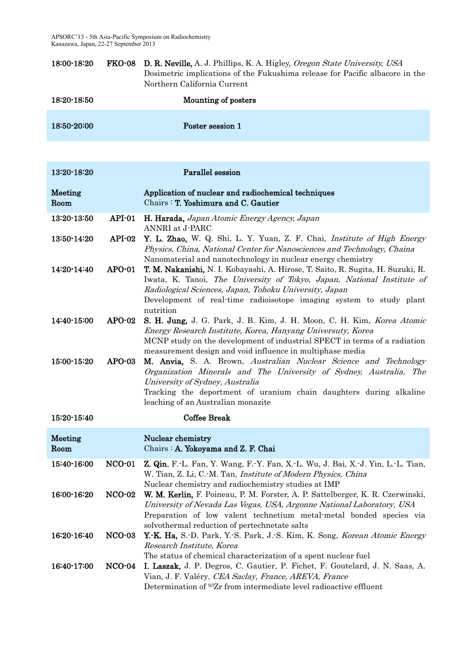| 18:00-18:20 | <b>FKO-08</b> D. R. Neville, A. J. Phillips, K. A. Higley, Oregon State University, USA |
|-------------|-----------------------------------------------------------------------------------------|
|             | Dosimetric implications of the Fukushima release for Pacific albacore in the            |
|             | Northern California Current                                                             |
| 18:20-18:50 | Mounting of posters                                                                     |

|             | ___              |
|-------------|------------------|
|             |                  |
| 18:50-20:00 | Poster session 1 |
|             |                  |

| 13:20-18:20     |               | Parallel session                                                                                                                                                                                                                                                                                        |
|-----------------|---------------|---------------------------------------------------------------------------------------------------------------------------------------------------------------------------------------------------------------------------------------------------------------------------------------------------------|
| Meeting<br>Room |               | Application of nuclear and radiochemical techniques<br>Chairs: T. Yoshimura and C. Gautier                                                                                                                                                                                                              |
| 13:20-13:50     | API-01        | H. Harada, Japan Atomic Energy Agency, Japan<br>ANNRI at J-PARC                                                                                                                                                                                                                                         |
| 13:50-14:20     | API-02        | Y. L. Zhao, W. Q. Shi, L. Y. Yuan, Z. F. Chai, Institute of High Energy<br>Physics, China, National Center for Nanosciences and Technology, Chaina<br>Nanomaterial and nanotechnology in nuclear energy chemistry                                                                                       |
| 14:20-14:40     | $APO-01$      | T. M. Nakanishi, N. I. Kobayashi, A. Hirose, T. Saito, R. Sugita, H. Suzuki, R.<br>Iwata, K. Tanoi, The University of Tokyo, Japan, National Institute of<br>Radiological Sciences, Japan, Tohoku University, Japan<br>Development of real-time radioisotope imaging system to study plant<br>nutrition |
| 14:40-15:00     | $APO-02$      | S. H. Jung, J. G. Park, J. B. Kim, J. H. Moon, C. H. Kim, Korea Atomic<br>Energy Research Institute, Korea, Hanyang Universuty, Korea<br>MCNP study on the development of industrial SPECT in terms of a radiation<br>measurement design and void influence in multiphase media                         |
| 15:00-15:20     | $APO-03$      | M. Anvia, S. A. Brown, Australian Nuclear Science and Technology<br>Organization Minerals and The University of Sydney, Australia, The<br>University of Sydney, Australia<br>Tracking the deportment of uranium chain daughters during alkaline<br>leaching of an Australian monazite                   |
| 15:20-15:40     |               | <b>Coffee Break</b>                                                                                                                                                                                                                                                                                     |
| Meeting<br>Room |               | Nuclear chemistry<br>Chairs: A. Yokoyama and Z. F. Chai                                                                                                                                                                                                                                                 |
| 15:40-16:00     | <b>NCO-01</b> | Z. Qin, F.-L. Fan, Y. Wang, F.-Y. Fan, X.-L. Wu, J. Bai, X.-J. Yin, L.-L. Tian,<br>W. Tian, Z. Li, C. M. Tan, <i>Institute of Modern Physics, China</i><br>Nuclear chemistry and radiochemistry studies at IMP                                                                                          |
| 16:00-16:20     | <b>NCO-02</b> | W. M. Kerlin, F. Poineau, P. M. Forster, A. P. Sattelberger, K. R. Czerwinski,<br>University of Nevada Las Vegas, USA, Argonne National Laboratory, USA<br>Preparation of low valent technetium metal-metal bonded species via<br>solvothermal reduction of pertechnetate salts                         |
| 16:20-16:40     | <b>NCO-03</b> | Y.-K. Ha, S.-D. Park, Y.-S. Park, J.-S. Kim, K. Song, <i>Korean Atomic Energy</i><br>Research Institute, Korea<br>The status of chemical characterization of a spent nuclear fuel                                                                                                                       |
| 16:40-17:00     | $NCO-04$      | I. Laszak, J. P. Degros, C. Gautier, P. Fichet, F. Goutelard, J. N. Saas, A.<br>Vian, J. F. Valéry, CEA Saclay, France, AREVA, France<br>Determination of <sup>93</sup> Zr from intermediate level radioactive effluent                                                                                 |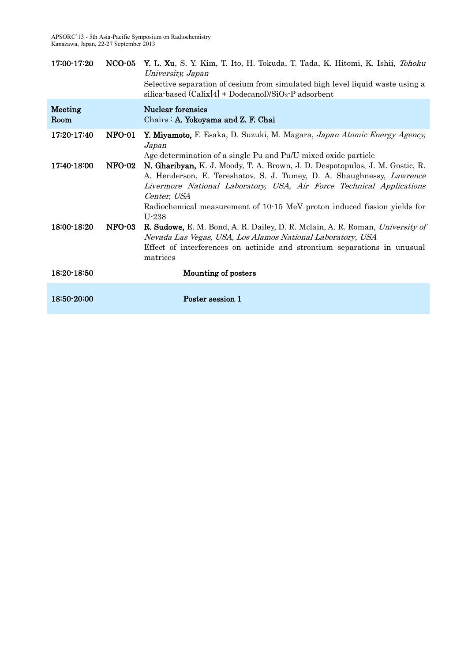| 17:00-17:20     | $NCO-05$      | Y. L. Xu, S. Y. Kim, T. Ito, H. Tokuda, T. Tada, K. Hitomi, K. Ishii, Tohoku<br>University, Japan<br>Selective separation of cesium from simulated high level liquid waste using a<br>silica-based $(Calix[4] + Dodecanol)/SiO_2$ -P adsorbent                                                                                      |
|-----------------|---------------|-------------------------------------------------------------------------------------------------------------------------------------------------------------------------------------------------------------------------------------------------------------------------------------------------------------------------------------|
| Meeting<br>Room |               | <b>Nuclear forensics</b><br>Chairs : A. Yokoyama and Z. F. Chai                                                                                                                                                                                                                                                                     |
| 17:20-17:40     | <b>NFO-01</b> | Y. Miyamoto, F. Esaka, D. Suzuki, M. Magara, Japan Atomic Energy Agency,<br>Japan<br>Age determination of a single Pu and Pu/U mixed oxide particle                                                                                                                                                                                 |
| 17:40-18:00     | <b>NFO-02</b> | N. Gharibyan, K. J. Moody, T. A. Brown, J. D. Despotopulos, J. M. Gostic, R.<br>A. Henderson, E. Tereshatov, S. J. Tumey, D. A. Shaughnessy, Lawrence<br>Livermore National Laboratory, USA, Air Force Technical Applications<br>Center, USA<br>Radiochemical measurement of 10.15 MeV proton induced fission yields for<br>$U-238$ |
| 18:00-18:20     | <b>NFO-03</b> | R. Sudowe, E. M. Bond, A. R. Dailey, D. R. Mclain, A. R. Roman, University of<br>Nevada Las Vegas, USA, Los Alamos National Laboratory, USA<br>Effect of interferences on actinide and strontium separations in unusual<br>matrices                                                                                                 |
| 18:20-18:50     |               | Mounting of posters                                                                                                                                                                                                                                                                                                                 |
| 18:50-20:00     |               | Poster session 1                                                                                                                                                                                                                                                                                                                    |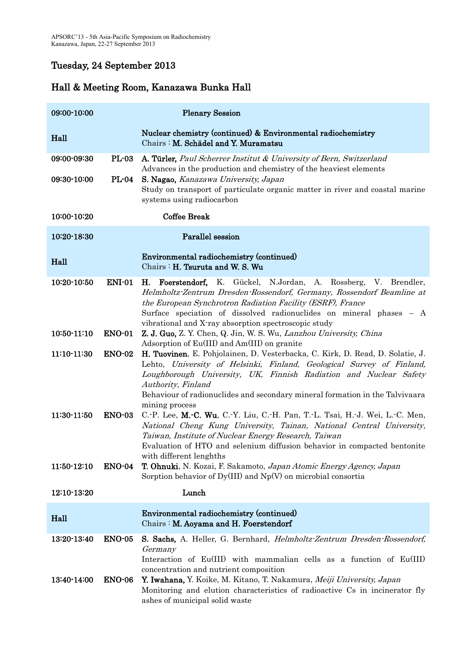## Tuesday, 24 September 2013

| 09:00-10:00                |                                | <b>Plenary Session</b>                                                                                                                                                                                                                                                                                                                                       |
|----------------------------|--------------------------------|--------------------------------------------------------------------------------------------------------------------------------------------------------------------------------------------------------------------------------------------------------------------------------------------------------------------------------------------------------------|
| Hall                       |                                | Nuclear chemistry (continued) & Environmental radiochemistry<br>Chairs: M. Schädel and Y. Muramatsu                                                                                                                                                                                                                                                          |
| 09:00-09:30                | <b>PL-03</b>                   | A. Türler, Paul Scherrer Institut & University of Bern, Switzerland                                                                                                                                                                                                                                                                                          |
| 09:30-10:00                | $PL-04$                        | Advances in the production and chemistry of the heaviest elements<br>S. Nagao, Kanazawa University, Japan<br>Study on transport of particulate organic matter in river and coastal marine<br>systems using radiocarbon                                                                                                                                       |
| 10:00-10:20                |                                | <b>Coffee Break</b>                                                                                                                                                                                                                                                                                                                                          |
| 10:20-18:30                |                                | Parallel session                                                                                                                                                                                                                                                                                                                                             |
| Hall                       |                                | Environmental radiochemistry (continued)<br>Chairs: H. Tsuruta and W. S. Wu                                                                                                                                                                                                                                                                                  |
| 10:20-10:50                | <b>ENI-01</b>                  | Foerstendorf, K. Gückel, N.Jordan, A. Rossberg, V. Brendler,<br>Н.<br>Helmholtz-Zentrum Dresden-Rossendorf, Germany, Rossendorf Beamline at<br>the European Synchrotron Radiation Facility (ESRF), France<br>Surface speciation of dissolved radionuclides on mineral phases - A<br>vibrational and X-ray absorption spectroscopic study                     |
| 10:50-11:10                | <b>ENO-01</b>                  | Z. J. Guo, Z. Y. Chen, Q. Jin, W. S. Wu, Lanzhou University, China<br>Adsorption of Eu(III) and Am(III) on granite                                                                                                                                                                                                                                           |
| 11:10-11:30                | <b>ENO-02</b>                  | H. Tuovinen, E. Pohjolainen, D. Vesterbacka, C. Kirk, D. Read, D. Solatie, J.<br>Lehto, University of Helsinki, Finland, Geological Survey of Finland,<br>Loughborough University, UK, Finnish Radiation and Nuclear Safety<br>Authority, Finland<br>Behaviour of radionuclides and secondary mineral formation in the Talvivaara<br>mining process          |
| 11:30-11:50                | <b>ENO-03</b>                  | C.-P. Lee, M.-C. Wu, C.-Y. Liu, C.-H. Pan, T.-L. Tsai, H.-J. Wei, L.-C. Men,<br>National Cheng Kung University, Tainan, National Central University,<br>Taiwan, Institute of Nuclear Energy Research, Taiwan<br>Evaluation of HTO and selenium diffusion behavior in compacted bentonite<br>with different lenghths                                          |
| 11:50-12:10                | <b>ENO-04</b>                  | T. Ohnuki, N. Kozai, F. Sakamoto, Japan Atomic Energy Agency, Japan<br>Sorption behavior of $Dy(III)$ and $Np(V)$ on microbial consortia                                                                                                                                                                                                                     |
| 12:10-13:20                |                                | Lunch                                                                                                                                                                                                                                                                                                                                                        |
| Hall                       |                                | Environmental radiochemistry (continued)<br>Chairs : M. Aoyama and H. Foerstendorf                                                                                                                                                                                                                                                                           |
| 13:20-13:40<br>13:40-14:00 | <b>ENO-05</b><br><b>ENO-06</b> | S. Sachs, A. Heller, G. Bernhard, Helmholtz-Zentrum Dresden-Rossendorf,<br>Germany<br>Interaction of Eu(III) with mammalian cells as a function of Eu(III)<br>concentration and nutrient composition<br>Y. Iwahana, Y. Koike, M. Kitano, T. Nakamura, Meiji University, Japan<br>Monitoring and elution characteristics of radioactive Cs in incinerator fly |
|                            |                                | ashes of municipal solid waste                                                                                                                                                                                                                                                                                                                               |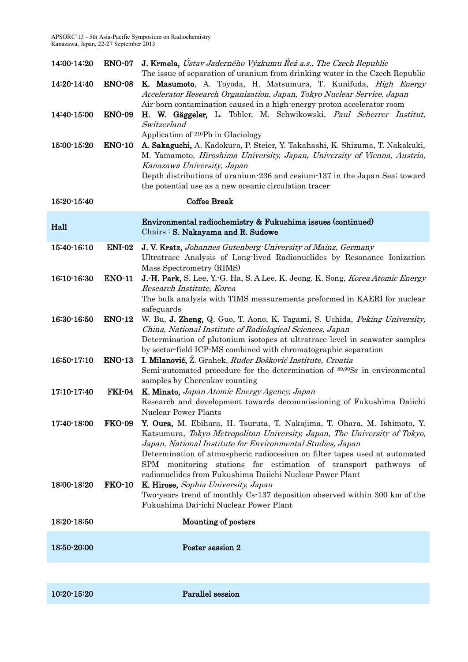APSORC'13 - 5th Asia-Pacific Symposium on Radiochemistry Kanazawa, Japan, 22-27 September 2013

| 14:00-14:20 | <b>ENO-07</b> | <b>J. Krmela,</b> Ústav Jaderného Výzkumu Řež a.s., The Czech Republic                                                                                                                                                                                                                                                                                                                                                             |
|-------------|---------------|------------------------------------------------------------------------------------------------------------------------------------------------------------------------------------------------------------------------------------------------------------------------------------------------------------------------------------------------------------------------------------------------------------------------------------|
| 14:20-14:40 | <b>ENO-08</b> | The issue of separation of uranium from drinking water in the Czech Republic<br>K. Masumoto, A. Toyoda, H. Matsumura, T. Kunifuda, <i>High Energy</i><br>Accelerator Research Organization, Japan, Tokyo Nuclear Service, Japan                                                                                                                                                                                                    |
| 14:40-15:00 | <b>ENO-09</b> | Air-born contamination caused in a high-energy proton accelerator room<br>H. W. Gäggeler, L. Tobler, M. Schwikowski, Paul Scherrer Institut,<br>Switzerland                                                                                                                                                                                                                                                                        |
| 15:00-15:20 | <b>ENO-10</b> | Application of 210Pb in Glaciology<br>A. Sakaguchi, A. Kadokura, P. Steier, Y. Takahashi, K. Shizuma, T. Nakakuki,<br>M. Yamamoto, Hiroshima University, Japan, University of Vienna, Austria,<br>Kanazawa University, Japan<br>Depth distributions of uranium-236 and cesium-137 in the Japan Sea; toward<br>the potential use as a new oceanic circulation tracer                                                                |
| 15:20-15:40 |               | <b>Coffee Break</b>                                                                                                                                                                                                                                                                                                                                                                                                                |
| Hall        |               | Environmental radiochemistry & Fukushima issues (continued)<br>Chairs: S. Nakayama and R. Sudowe                                                                                                                                                                                                                                                                                                                                   |
| 15:40-16:10 | <b>ENI-02</b> | J. V. Kratz, Johannes Gutenberg-University of Mainz, Germany<br>Ultratrace Analysis of Long-lived Radionuclides by Resonance Ionization<br>Mass Spectrometry (RIMS)                                                                                                                                                                                                                                                                |
| 16:10-16:30 | <b>ENO-11</b> | J.-H. Park, S. Lee, Y.-G. Ha, S. A Lee, K. Jeong, K. Song, Korea Atomic Energy<br>Research Institute, Korea<br>The bulk analysis with TIMS measurements preformed in KAERI for nuclear<br>safeguards                                                                                                                                                                                                                               |
| 16:30-16:50 | <b>ENO-12</b> | W. Bu, J. Zheng, Q. Guo, T. Aono, K. Tagami, S. Uchida, Peking University,<br>China, National Institute of Radiological Sciences, Japan<br>Determination of plutonium isotopes at ultratrace level in seawater samples<br>by sector-field ICP-MS combined with chromatographic separation                                                                                                                                          |
| 16:50-17:10 | <b>ENO-13</b> | I. Milanović, Ž. Grahek, Ruđer Bošković Institute, Croatia<br>Semi-automated procedure for the determination of <sup>89,90</sup> Sr in environmental<br>samples by Cherenkov counting                                                                                                                                                                                                                                              |
| 17:10-17:40 | <b>FKI-04</b> | K. Minato, Japan Atomic Energy Agency, Japan<br>Research and development towards decommissioning of Fukushima Daiichi<br><b>Nuclear Power Plants</b>                                                                                                                                                                                                                                                                               |
| 17:40-18:00 | <b>FKO-09</b> | Y. Oura, M. Ebihara, H. Tsuruta, T. Nakajima, T. Ohara, M. Ishimoto, Y.<br>Katsumura, Tokyo Metropolitan University, Japan, The University of Tokyo,<br>Japan, National Institute for Environmental Studies, Japan<br>Determination of atmospheric radiocesium on filter tapes used at automated<br>monitoring stations for estimation of transport pathways of<br>SPM<br>radionuclides from Fukushima Daiichi Nuclear Power Plant |
| 18:00-18:20 | <b>FKO-10</b> | K. Hirose, Sophia University, Japan<br>Two-years trend of monthly Cs-137 deposition observed within 300 km of the<br>Fukushima Dai-ichi Nuclear Power Plant                                                                                                                                                                                                                                                                        |
| 18:20-18:50 |               | Mounting of posters                                                                                                                                                                                                                                                                                                                                                                                                                |
| 18:50-20:00 |               | Poster session 2                                                                                                                                                                                                                                                                                                                                                                                                                   |
|             |               |                                                                                                                                                                                                                                                                                                                                                                                                                                    |
| 10:20-15:20 |               | Parallel session                                                                                                                                                                                                                                                                                                                                                                                                                   |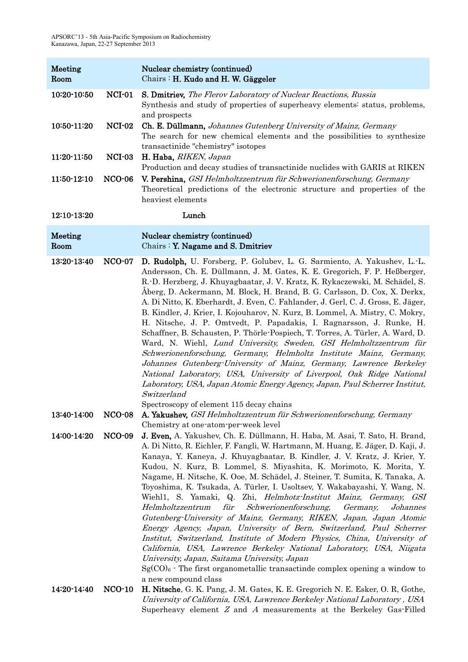| Meeting<br>Room |               | Nuclear chemistry (continued)<br>Chairs : H. Kudo and H. W. Gäggeler                                                                                                                                                                                                                                                                                                                                                                                                                                                                                                                                                                                                                                                                                                                                                                                                                                                                                                                                                                                                                             |
|-----------------|---------------|--------------------------------------------------------------------------------------------------------------------------------------------------------------------------------------------------------------------------------------------------------------------------------------------------------------------------------------------------------------------------------------------------------------------------------------------------------------------------------------------------------------------------------------------------------------------------------------------------------------------------------------------------------------------------------------------------------------------------------------------------------------------------------------------------------------------------------------------------------------------------------------------------------------------------------------------------------------------------------------------------------------------------------------------------------------------------------------------------|
| 10:20-10:50     | $NCI-01$      | <b>S. Dmitriev,</b> The Flerov Laboratory of Nuclear Reactions, Russia<br>Synthesis and study of properties of superheavy elements: status, problems,<br>and prospects                                                                                                                                                                                                                                                                                                                                                                                                                                                                                                                                                                                                                                                                                                                                                                                                                                                                                                                           |
| 10:50-11:20     | <b>NCI-02</b> | Ch. E. Düllmann, Johannes Gutenberg University of Mainz, Germany<br>The search for new chemical elements and the possibilities to synthesize<br>transactinide "chemistry" isotopes                                                                                                                                                                                                                                                                                                                                                                                                                                                                                                                                                                                                                                                                                                                                                                                                                                                                                                               |
| 11:20-11:50     | NCI-03        | H. Haba, RIKEN, Japan<br>Production and decay studies of transactinide nuclides with GARIS at RIKEN                                                                                                                                                                                                                                                                                                                                                                                                                                                                                                                                                                                                                                                                                                                                                                                                                                                                                                                                                                                              |
| 11:50-12:10     | <b>NCO-06</b> | V. Pershina, GSI Helmholtzzentrum für Schwerionenforschung, Germany<br>Theoretical predictions of the electronic structure and properties of the<br>heaviest elements                                                                                                                                                                                                                                                                                                                                                                                                                                                                                                                                                                                                                                                                                                                                                                                                                                                                                                                            |
| 12:10-13:20     |               | Lunch                                                                                                                                                                                                                                                                                                                                                                                                                                                                                                                                                                                                                                                                                                                                                                                                                                                                                                                                                                                                                                                                                            |
| Meeting<br>Room |               | Nuclear chemistry (continued)<br>Chairs: Y. Nagame and S. Dmitriev                                                                                                                                                                                                                                                                                                                                                                                                                                                                                                                                                                                                                                                                                                                                                                                                                                                                                                                                                                                                                               |
| 13:20-13:40     | <b>NCO-07</b> | D. Rudolph, U. Forsberg, P. Golubev, L. G. Sarmiento, A. Yakushev, L.-L.<br>Andersson, Ch. E. Düllmann, J. M. Gates, K. E. Gregorich, F. P. Heßberger,<br>R.-D. Herzberg, J. Khuyagbaatar, J. V. Kratz, K. Rykaczewski, M. Schädel, S.<br>Åberg, D. Ackermann, M. Block, H. Brand, B. G. Carlsson, D. Cox, X. Derkx,<br>A. Di Nitto, K. Eberhardt, J. Even, C. Fahlander, J. Gerl, C. J. Gross, E. Jäger,<br>B. Kindler, J. Krier, I. Kojouharov, N. Kurz, B. Lommel, A. Mistry, C. Mokry,<br>H. Nitsche, J. P. Omtvedt, P. Papadakis, I. Ragnarsson, J. Runke, H.<br>Schaffner, B. Schausten, P. Thörle-Pospiech, T. Torres, A. Türler, A. Ward, D.<br>Ward, N. Wiehl, Lund University, Sweden, GSI Helmholtzzentrum für<br>Schwerionenforschung, Germany, Helmholtz Institute Mainz, Germany,<br>Johannes Gutenberg-University of Mainz, Germany, Lawrence Berkeley<br>National Laboratory, USA, University of Liverpool, Oak Ridge National<br>Laboratory, USA, Japan Atomic Energy Agency, Japan, Paul Scherrer Institut,<br>Switzerland<br>Spectroscopy of element 115 decay chains         |
| 13:40-14:00     | <b>NCO-08</b> | A. Yakushev, GSI Helmholtzzentrum für Schwerionenforschung, Germany<br>Chemistry at one-atom-per-week level                                                                                                                                                                                                                                                                                                                                                                                                                                                                                                                                                                                                                                                                                                                                                                                                                                                                                                                                                                                      |
| 14:00-14:20     | <b>NCO-09</b> | J. Even, A. Yakushev, Ch. E. Düllmann, H. Haba, M. Asai, T. Sato, H. Brand,<br>A. Di Nitto, R. Eichler, F. Fangli, W. Hartmann, M. Huang, E. Jäger, D. Kaji, J.<br>Kanaya, Y. Kaneya, J. Khuyagbaatar, B. Kindler, J. V. Kratz, J. Krier, Y.<br>Kudou, N. Kurz, B. Lommel, S. Miyashita, K. Morimoto, K. Morita, Y.<br>Nagame, H. Nitsche, K. Ooe, M. Schädel, J. Steiner, T. Sumita, K. Tanaka, A.<br>Toyoshima, K. Tsukada, A. Türler, I. Usoltsev, Y. Wakabayashi, Y. Wang, N.<br>Wiehl1, S. Yamaki, Q. Zhi, <i>Helmhotz-Institut Mainz, Germany, GSI</i><br>Schwerionenforschung,<br>Helmholtzzentrum<br>für<br>Germany,<br>Johannes<br>Gutenberg-University of Mainz, Germany, RIKEN, Japan, Japan Atomic<br>Energy Agency, Japan, University of Bern, Switzerland, Paul Scherrer<br>Institut, Switzerland, Institute of Modern Physics, China, University of<br>California, USA, Lawrence Berkeley National Laboratory, USA, Niigata<br>University, Japan, Saitama University, Japan<br>$Sg(CO)$ The first organometallic transactinde complex opening a window to<br>a new compound class |
| 14:20-14:40     | $NCO-10$      | H. Nitsche, G. K. Pang, J. M. Gates, K. E. Gregorich N. E. Esker, O. R. Gothe,<br>University of California, USA, Lawrence Berkeley National Laboratory, USA<br>Superheavy element $Z$ and $A$ measurements at the Berkeley Gas-Filled                                                                                                                                                                                                                                                                                                                                                                                                                                                                                                                                                                                                                                                                                                                                                                                                                                                            |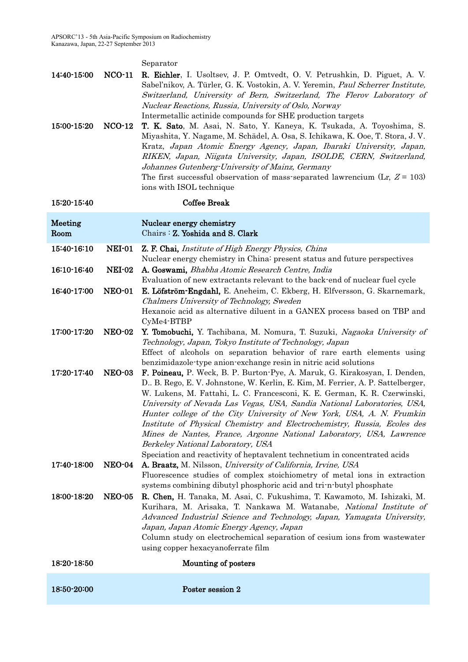Separator

| 14:40-15:00<br>15:00-15:20 | $NCO-11$<br>$NCO-12$ | <b>R. Eichler</b> , I. Usoltsev, J. P. Omtvedt, O. V. Petrushkin, D. Piguet, A. V.<br>Sabel'nikov, A. Türler, G. K. Vostokin, A. V. Yeremin, Paul Scherrer Institute,<br>Switzerland, University of Bern, Switzerland, The Flerov Laboratory of<br>Nuclear Reactions, Russia, University of Oslo, Norway<br>Intermetallic actinide compounds for SHE production targets<br>T. K. Sato, M. Asai, N. Sato, Y. Kaneya, K. Tsukada, A. Toyoshima, S.<br>Miyashita, Y. Nagame, M. Schädel, A. Osa, S. Ichikawa, K. Ooe, T. Stora, J. V.                                                                                                                                                                                                       |
|----------------------------|----------------------|------------------------------------------------------------------------------------------------------------------------------------------------------------------------------------------------------------------------------------------------------------------------------------------------------------------------------------------------------------------------------------------------------------------------------------------------------------------------------------------------------------------------------------------------------------------------------------------------------------------------------------------------------------------------------------------------------------------------------------------|
|                            |                      | Kratz, Japan Atomic Energy Agency, Japan, Ibaraki University, Japan,<br>RIKEN, Japan, Niigata University, Japan, ISOLDE, CERN, Switzerland,<br>Johannes Gutenberg-University of Mainz, Germany<br>The first successful observation of mass-separated lawrencium (Lr, $Z = 103$ )<br>ions with ISOL technique                                                                                                                                                                                                                                                                                                                                                                                                                             |
| 15:20-15:40                |                      | <b>Coffee Break</b>                                                                                                                                                                                                                                                                                                                                                                                                                                                                                                                                                                                                                                                                                                                      |
| Meeting<br>Room            |                      | Nuclear energy chemistry<br>Chairs: Z. Yoshida and S. Clark                                                                                                                                                                                                                                                                                                                                                                                                                                                                                                                                                                                                                                                                              |
| 15:40-16:10                | <b>NEI-01</b>        | Z. F. Chai, Institute of High Energy Physics, China<br>Nuclear energy chemistry in China: present status and future perspectives                                                                                                                                                                                                                                                                                                                                                                                                                                                                                                                                                                                                         |
| 16:10-16:40                | <b>NEI-02</b>        | A. Goswami, Bhabha Atomic Research Centre, India<br>Evaluation of new extractants relevant to the back-end of nuclear fuel cycle                                                                                                                                                                                                                                                                                                                                                                                                                                                                                                                                                                                                         |
| 16:40-17:00                | <b>NEO-01</b>        | E. Löfström-Engdahl, E. Aneheim, C. Ekberg, H. Elfversson, G. Skarnemark,<br>Chalmers University of Technology, Sweden<br>Hexanoic acid as alternative diluent in a GANEX process based on TBP and                                                                                                                                                                                                                                                                                                                                                                                                                                                                                                                                       |
| 17:00-17:20                | <b>NEO-02</b>        | CyMe4-BTBP<br>Y. Tomobuchi, Y. Tachibana, M. Nomura, T. Suzuki, Nagaoka University of<br>Technology, Japan, Tokyo Institute of Technology, Japan<br>Effect of alcohols on separation behavior of rare earth elements using                                                                                                                                                                                                                                                                                                                                                                                                                                                                                                               |
| 17:20-17:40                | <b>NEO-03</b>        | benzimidazole-type anion-exchange resin in nitric acid solutions<br>F. Poineau, P. Weck, B. P. Burton-Pye, A. Maruk, G. Kirakosyan, I. Denden,<br>D., B. Rego, E. V. Johnstone, W. Kerlin, E. Kim, M. Ferrier, A. P. Sattelberger,<br>W. Lukens, M. Fattahi, L. C. Francesconi, K. E. German, K. R. Czerwinski,<br>University of Nevada Las Vegas, USA, Sandia National Laboratories, USA,<br>Hunter college of the City University of New York, USA, A. N. Frumkin<br>Institute of Physical Chemistry and Electrochemistry, Russia, Ecoles des<br>Mines de Nantes, France, Argonne National Laboratory, USA, Lawrence<br>Berkeley National Laboratory, USA<br>Speciation and reactivity of heptavalent technetium in concentrated acids |
| 17:40-18:00                | <b>NEO-04</b>        | A. Braatz, M. Nilsson, University of California, Irvine, USA<br>Fluorescence studies of complex stoichiometry of metal ions in extraction<br>systems combining dibutyl phosphoric acid and tri-n-butyl phosphate                                                                                                                                                                                                                                                                                                                                                                                                                                                                                                                         |
| 18:00-18:20                | <b>NEO-05</b>        | R. Chen, H. Tanaka, M. Asai, C. Fukushima, T. Kawamoto, M. Ishizaki, M.<br>Kurihara, M. Arisaka, T. Nankawa M. Watanabe, National Institute of<br>Advanced Industrial Science and Technology, Japan, Yamagata University,<br>Japan, Japan Atomic Energy Agency, Japan<br>Column study on electrochemical separation of cesium ions from wastewater<br>using copper hexacyanoferrate film                                                                                                                                                                                                                                                                                                                                                 |
| 18:20 18:50                |                      | Mounting of posters                                                                                                                                                                                                                                                                                                                                                                                                                                                                                                                                                                                                                                                                                                                      |
| 18:50-20:00                |                      | Poster session 2                                                                                                                                                                                                                                                                                                                                                                                                                                                                                                                                                                                                                                                                                                                         |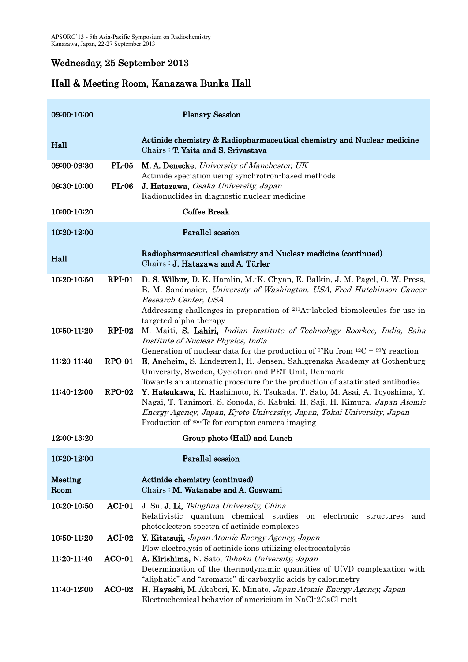# Wednesday, 25 September 2013

| 09:00-10:00     |              | <b>Plenary Session</b>                                                                                                                                                                                                                                                                           |
|-----------------|--------------|--------------------------------------------------------------------------------------------------------------------------------------------------------------------------------------------------------------------------------------------------------------------------------------------------|
| Hall            |              | Actinide chemistry & Radiopharmaceutical chemistry and Nuclear medicine<br>Chairs: T. Yaita and S. Srivastava                                                                                                                                                                                    |
| 09:00-09:30     | $PL-05$      | M. A. Denecke, University of Manchester, UK                                                                                                                                                                                                                                                      |
| 09:30-10:00     | <b>PL-06</b> | Actinide speciation using synchrotron-based methods<br>J. Hatazawa, Osaka University, Japan<br>Radionuclides in diagnostic nuclear medicine                                                                                                                                                      |
| 10:00-10:20     |              | <b>Coffee Break</b>                                                                                                                                                                                                                                                                              |
| 10:20-12:00     |              | Parallel session                                                                                                                                                                                                                                                                                 |
| Hall            |              | Radiopharmaceutical chemistry and Nuclear medicine (continued)<br>Chairs: J. Hatazawa and A. Türler                                                                                                                                                                                              |
| 10:20-10:50     | $RPI-01$     | D. S. Wilbur, D. K. Hamlin, M. K. Chyan, E. Balkin, J. M. Pagel, O. W. Press,<br>B. M. Sandmaier, University of Washington, USA, Fred Hutchinson Cancer<br>Research Center, USA<br>Addressing challenges in preparation of <sup>211</sup> At-labeled biomolecules for use in                     |
| 10:50-11:20     | $RPI-02$     | targeted alpha therapy<br>M. Maiti, S. Lahiri, <i>Indian Institute of Technology Roorkee</i> , <i>India</i> , <i>Saha</i><br>Institute of Nuclear Physics, India<br>Generation of nuclear data for the production of ${}^{97}Ru$ from ${}^{12}C + {}^{89}Y$ reaction                             |
| 11:20-11:40     | $RPO-01$     | <b>E. Aneheim,</b> S. Lindegren1, H. Jensen, Sahlgrenska Academy at Gothenburg<br>University, Sweden, Cyclotron and PET Unit, Denmark<br>Towards an automatic procedure for the production of astatinated antibodies                                                                             |
| 11:40-12:00     | $RPO-02$     | Y. Hatsukawa, K. Hashimoto, K. Tsukada, T. Sato, M. Asai, A. Toyoshima, Y.<br>Nagai, T. Tanimori, S. Sonoda, S. Kabuki, H, Saji, H. Kimura, Japan Atomic<br>Energy Agency, Japan, Kyoto University, Japan, Tokai University, Japan<br>Production of <sup>95m</sup> Tc for compton camera imaging |
| 12:00-13:20     |              | Group photo (Hall) and Lunch                                                                                                                                                                                                                                                                     |
| 10:20-12:00     |              | Parallel session                                                                                                                                                                                                                                                                                 |
| Meeting<br>Room |              | Actinide chemistry (continued)<br>Chairs: M. Watanabe and A. Goswami                                                                                                                                                                                                                             |
| 10:20-10:50     | $ACI-01$     | J. Su, J. Li, Tsinghua University, China<br>Relativistic quantum chemical studies<br>electronic<br>on<br>structures<br>and<br>photoelectron spectra of actinide complexes                                                                                                                        |
| 10:50-11:20     | $ACI-02$     | Y. Kitatsuji, Japan Atomic Energy Agency, Japan                                                                                                                                                                                                                                                  |
| 11:20-11:40     | $ACO-01$     | Flow electrolysis of actinide ions utilizing electrocatalysis<br>A. Kirishima, N. Sato, Tohoku University, Japan<br>Determination of the thermodynamic quantities of U(VI) complexation with<br>"aliphatic" and "aromatic" di-carboxylic acids by calorimetry                                    |
| 11:40-12:00     | $ACO-02$     | H. Hayashi, M. Akabori, K. Minato, Japan Atomic Energy Agency, Japan<br>Electrochemical behavior of americium in NaCl-2CsCl melt                                                                                                                                                                 |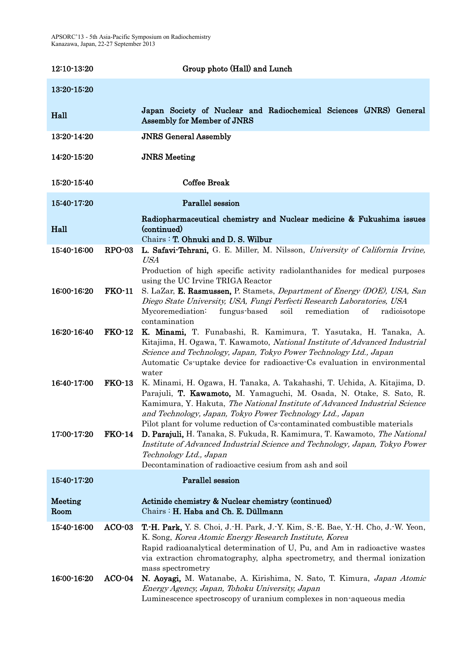| 12:10-13:20     |               | Group photo (Hall) and Lunch                                                                                                                                                                                                                                                                                                                                             |
|-----------------|---------------|--------------------------------------------------------------------------------------------------------------------------------------------------------------------------------------------------------------------------------------------------------------------------------------------------------------------------------------------------------------------------|
| 13:20-15:20     |               |                                                                                                                                                                                                                                                                                                                                                                          |
| Hall            |               | Japan Society of Nuclear and Radiochemical Sciences (JNRS) General<br>Assembly for Member of JNRS                                                                                                                                                                                                                                                                        |
| 13:20-14:20     |               | <b>JNRS General Assembly</b>                                                                                                                                                                                                                                                                                                                                             |
| 14:20-15:20     |               | <b>JNRS</b> Meeting                                                                                                                                                                                                                                                                                                                                                      |
| 15:20-15:40     |               | <b>Coffee Break</b>                                                                                                                                                                                                                                                                                                                                                      |
| 15:40-17:20     |               | Parallel session                                                                                                                                                                                                                                                                                                                                                         |
| Hall            |               | Radiopharmaceutical chemistry and Nuclear medicine & Fukushima issues<br>(continued)<br>Chairs: T. Ohnuki and D. S. Wilbur                                                                                                                                                                                                                                               |
| 15:40-16:00     | $RPO-03$      | L. Safavi-Tehrani, G. E. Miller, M. Nilsson, University of California Irvine,<br><b>USA</b><br>Production of high specific activity radiolanthanides for medical purposes                                                                                                                                                                                                |
| 16:00-16:20     | <b>FKO-11</b> | using the UC Irvine TRIGA Reactor<br>S. LaZar, E. Rasmussen, P. Stamets, Department of Energy (DOE), USA, San<br>Diego State University, USA, Fungi Perfecti Research Laboratories, USA<br>Mycoremediation:<br>fungus-based<br>soil<br>remediation<br>of<br>radioisotope<br>contamination                                                                                |
| 16:20-16:40     | <b>FKO-12</b> | K. Minami, T. Funabashi, R. Kamimura, T. Yasutaka, H. Tanaka, A.<br>Kitajima, H. Ogawa, T. Kawamoto, National Institute of Advanced Industrial<br>Science and Technology, Japan, Tokyo Power Technology Ltd., Japan<br>Automatic Cs-uptake device for radioactive-Cs evaluation in environmental<br>water                                                                |
| 16:40-17:00     | $FKO-13$      | K. Minami, H. Ogawa, H. Tanaka, A. Takahashi, T. Uchida, A. Kitajima, D.<br>Parajuli, T. Kawamoto, M. Yamaguchi, M. Osada, N. Otake, S. Sato, R.<br>Kamimura, Y. Hakuta, The National Institute of Advanced Industrial Science<br>and Technology, Japan, Tokyo Power Technology Ltd., Japan<br>Pilot plant for volume reduction of Cs-contaminated combustible materials |
| 17:00-17:20     | <b>FKO-14</b> | D. Parajuli, H. Tanaka, S. Fukuda, R. Kamimura, T. Kawamoto, The National<br>Institute of Advanced Industrial Science and Technology, Japan, Tokyo Power<br>Technology Ltd., Japan<br>Decontamination of radioactive cesium from ash and soil                                                                                                                            |
| 15:40-17:20     |               | Parallel session                                                                                                                                                                                                                                                                                                                                                         |
| Meeting<br>Room |               | Actinide chemistry & Nuclear chemistry (continued)<br>Chairs: H. Haba and Ch. E. Düllmann                                                                                                                                                                                                                                                                                |
| 15:40-16:00     | $ACO-03$      | T.-H. Park, Y. S. Choi, J.-H. Park, J.-Y. Kim, S.-E. Bae, Y.-H. Cho, J.-W. Yeon,<br>K. Song, Korea Atomic Energy Research Institute, Korea<br>Rapid radioanalytical determination of U, Pu, and Am in radioactive wastes<br>via extraction chromatography, alpha spectrometry, and thermal ionization                                                                    |
| 16:00-16:20     | $ACO-04$      | mass spectrometry<br>N. Aoyagi, M. Watanabe, A. Kirishima, N. Sato, T. Kimura, Japan Atomic<br>Energy Agency, Japan, Tohoku University, Japan<br>Luminescence spectroscopy of uranium complexes in non-aqueous media                                                                                                                                                     |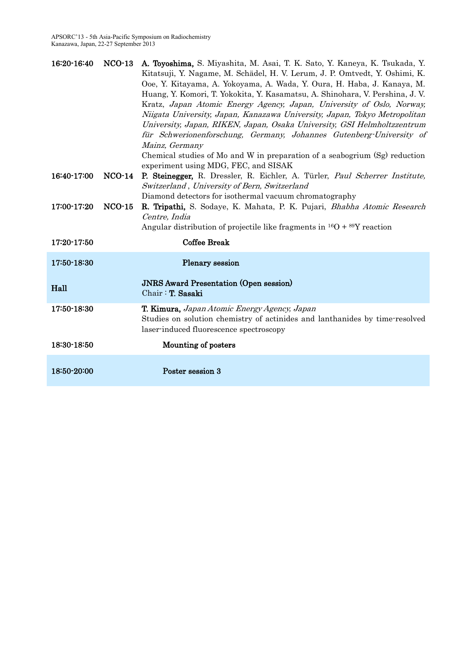| 16:20-16:40   | $NCO-13$ | A. Toyoshima, S. Miyashita, M. Asai, T. K. Sato, Y. Kaneya, K. Tsukada, Y.      |
|---------------|----------|---------------------------------------------------------------------------------|
|               |          | Kitatsuji, Y. Nagame, M. Schädel, H. V. Lerum, J. P. Omtvedt, Y. Oshimi, K.     |
|               |          | Ooe, Y. Kitayama, A. Yokoyama, A. Wada, Y. Oura, H. Haba, J. Kanaya, M.         |
|               |          | Huang, Y. Komori, T. Yokokita, Y. Kasamatsu, A. Shinohara, V. Pershina, J. V.   |
|               |          |                                                                                 |
|               |          | Kratz, Japan Atomic Energy Agency, Japan, University of Oslo, Norway,           |
|               |          | Niigata University, Japan, Kanazawa University, Japan, Tokyo Metropolitan       |
|               |          | University, Japan, RIKEN, Japan, Osaka University, GSI Helmholtzzentrum         |
|               |          | für Schwerionenforschung, Germany, Johannes Gutenberg-University of             |
|               |          | Mainz, Germany                                                                  |
|               |          | Chemical studies of Mo and W in preparation of a seabogrium (Sg) reduction      |
|               |          | experiment using MDG, FEC, and SISAK                                            |
| 16:40 - 17:00 | $NCO-14$ | P. Steinegger, R. Dressler, R. Eichler, A. Türler, Paul Scherrer Institute,     |
|               |          | Switzerland, University of Bern, Switzerland                                    |
|               |          | Diamond detectors for isothermal vacuum chromatography                          |
| 17:00-17:20   | $NCO-15$ |                                                                                 |
|               |          | R. Tripathi, S. Sodaye, K. Mahata, P. K. Pujari, Bhabha Atomic Research         |
|               |          | Centre, India                                                                   |
|               |          | Angular distribution of projectile like fragments in $^{16}O + ^{89}Y$ reaction |
| 17:20-17:50   |          | <b>Coffee Break</b>                                                             |
|               |          |                                                                                 |
| 17:50-18:30   |          | Plenary session                                                                 |
|               |          |                                                                                 |
|               |          | <b>JNRS Award Presentation (Open session)</b>                                   |
| Hall          |          | $Chair : T. Sasaki$                                                             |
|               |          |                                                                                 |
| 17:50-18:30   |          | T. Kimura, Japan Atomic Energy Agency, Japan                                    |
|               |          | Studies on solution chemistry of actinides and lanthanides by time-resolved     |
|               |          | laser-induced fluorescence spectroscopy                                         |
| 18:30-18:50   |          | Mounting of posters                                                             |
|               |          |                                                                                 |
|               |          |                                                                                 |
| 18:50-20:00   |          | Poster session 3                                                                |
|               |          |                                                                                 |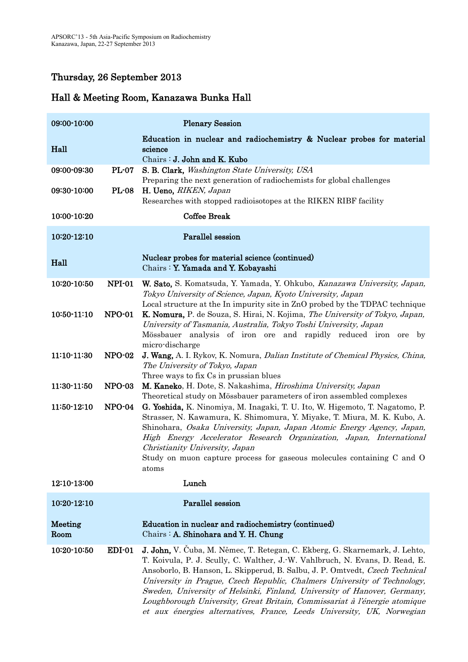# Thursday, 26 September 2013

| 09:00-10:00     |               | <b>Plenary Session</b>                                                                                                                                                                                                                                                                                                                                                                                                                                                                                                                                    |
|-----------------|---------------|-----------------------------------------------------------------------------------------------------------------------------------------------------------------------------------------------------------------------------------------------------------------------------------------------------------------------------------------------------------------------------------------------------------------------------------------------------------------------------------------------------------------------------------------------------------|
| Hall            |               | Education in nuclear and radiochemistry & Nuclear probes for material<br>science<br>Chairs : J. John and K. Kubo                                                                                                                                                                                                                                                                                                                                                                                                                                          |
| 09:00-09:30     | <b>PL-07</b>  | S. B. Clark, Washington State University, USA                                                                                                                                                                                                                                                                                                                                                                                                                                                                                                             |
| 09:30-10:00     | <b>PL-08</b>  | Preparing the next generation of radiochemists for global challenges<br>H. Ueno, RIKEN, Japan<br>Researches with stopped radioisotopes at the RIKEN RIBF facility                                                                                                                                                                                                                                                                                                                                                                                         |
| 10:00-10:20     |               | <b>Coffee Break</b>                                                                                                                                                                                                                                                                                                                                                                                                                                                                                                                                       |
| 10:20-12:10     |               | <b>Parallel</b> session                                                                                                                                                                                                                                                                                                                                                                                                                                                                                                                                   |
| Hall            |               | Nuclear probes for material science (continued)<br>Chairs : Y. Yamada and Y. Kobayashi                                                                                                                                                                                                                                                                                                                                                                                                                                                                    |
| 10:20-10:50     | NPI-01        | W. Sato, S. Komatsuda, Y. Yamada, Y. Ohkubo, Kanazawa University, Japan,<br>Tokyo University of Science, Japan, Kyoto University, Japan<br>Local structure at the In impurity site in ZnO probed by the TDPAC technique                                                                                                                                                                                                                                                                                                                                   |
| 10:50-11:10     | <b>NPO-01</b> | K. Nomura, P. de Souza, S. Hirai, N. Kojima, The University of Tokyo, Japan,<br>University of Tasmania, Australia, Tokyo Toshi University, Japan<br>Mössbauer analysis of iron ore and rapidly reduced iron ore by<br>micro-discharge                                                                                                                                                                                                                                                                                                                     |
| 11:10-11:30     | <b>NPO-02</b> | <b>J. Wang, A. I. Rykov, K. Nomura, Dalian Institute of Chemical Physics, China,</b><br>The University of Tokyo, Japan<br>Three ways to fix Cs in prussian blues                                                                                                                                                                                                                                                                                                                                                                                          |
| 11:30-11:50     | <b>NPO-03</b> | M. Kaneko, H. Dote, S. Nakashima, Hiroshima University, Japan<br>Theoretical study on Mössbauer parameters of iron assembled complexes                                                                                                                                                                                                                                                                                                                                                                                                                    |
| 11:50-12:10     | <b>NPO-04</b> | G. Yoshida, K. Ninomiya, M. Inagaki, T. U. Ito, W. Higemoto, T. Nagatomo, P.<br>Strasser, N. Kawamura, K. Shimomura, Y. Miyake, T. Miura, M. K. Kubo, A.<br>Shinohara, Osaka University, Japan, Japan Atomic Energy Agency, Japan,<br>High Energy Accelerator Research Organization, Japan, International<br>Christianity University, Japan<br>Study on muon capture process for gaseous molecules containing C and O<br>atoms                                                                                                                            |
| 12:10-13:00     |               | Lunch                                                                                                                                                                                                                                                                                                                                                                                                                                                                                                                                                     |
| 10:20-12:10     |               | Parallel session                                                                                                                                                                                                                                                                                                                                                                                                                                                                                                                                          |
| Meeting<br>Room |               | Education in nuclear and radiochemistry (continued)<br>Chairs: A. Shinohara and Y. H. Chung                                                                                                                                                                                                                                                                                                                                                                                                                                                               |
| 10:20-10:50     | $EDI-01$      | J. John, V. Čuba, M. Němec, T. Retegan, C. Ekberg, G. Skarnemark, J. Lehto,<br>T. Koivula, P. J. Scully, C. Walther, J. W. Vahlbruch, N. Evans, D. Read, E.<br>Ansoborlo, B. Hanson, L. Skipperud, B. Salbu, J. P. Omtvedt, Czech Technical<br>University in Prague, Czech Republic, Chalmers University of Technology,<br>Sweden, University of Helsinki, Finland, University of Hanover, Germany,<br>Loughborough University, Great Britain, Commissariat à l'énergie atomique<br>et aux énergies alternatives, France, Leeds University, UK, Norwegian |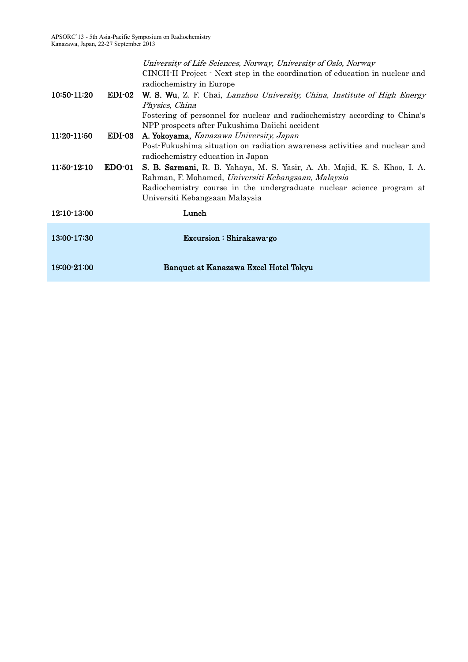| 10:50-11:20   | $EDI-02$      | University of Life Sciences, Norway, University of Oslo, Norway<br>CINCH-II Project · Next step in the coordination of education in nuclear and<br>radiochemistry in Europe<br><b>W. S. Wu.</b> Z. F. Chai, Lanzhou University, China, Institute of High Energy |
|---------------|---------------|-----------------------------------------------------------------------------------------------------------------------------------------------------------------------------------------------------------------------------------------------------------------|
|               |               | Physics, China                                                                                                                                                                                                                                                  |
|               |               | Fostering of personnel for nuclear and radiochemistry according to China's                                                                                                                                                                                      |
|               |               | NPP prospects after Fukushima Daiichi accident                                                                                                                                                                                                                  |
| 11:20-11:50   | <b>EDI-03</b> | A. Yokoyama, Kanazawa University, Japan                                                                                                                                                                                                                         |
|               |               | Post-Fukushima situation on radiation awareness activities and nuclear and                                                                                                                                                                                      |
|               |               | radiochemistry education in Japan                                                                                                                                                                                                                               |
| $11:50-12:10$ | $EDO-01$      | S. B. Sarmani, R. B. Yahaya, M. S. Yasir, A. Ab. Majid, K. S. Khoo, I. A.                                                                                                                                                                                       |
|               |               | Rahman, F. Mohamed, Universiti Kebangsaan, Malaysia                                                                                                                                                                                                             |
|               |               | Radiochemistry course in the undergraduate nuclear science program at<br>Universiti Kebangsaan Malaysia                                                                                                                                                         |
|               |               |                                                                                                                                                                                                                                                                 |
| 12:10-13:00   |               | Lunch                                                                                                                                                                                                                                                           |
| 13:00-17:30   |               | Excursion: Shirakawa-go                                                                                                                                                                                                                                         |
| 19:00-21:00   |               | Banquet at Kanazawa Excel Hotel Tokyu                                                                                                                                                                                                                           |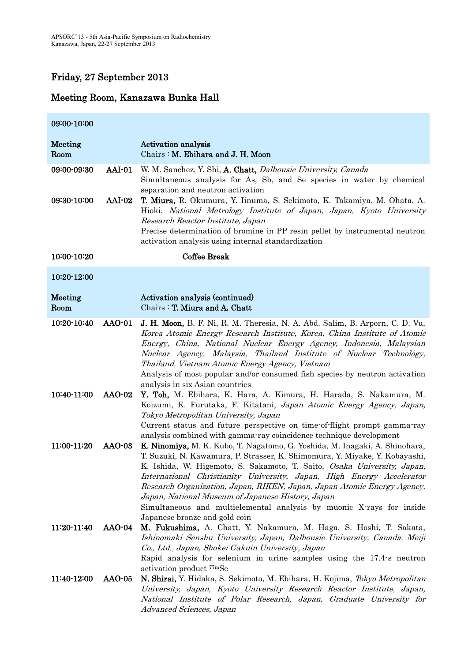# Friday, 27 September 2013

| 09:00-10:00            |               |                                                                                                                                                                                                                                                                                                                                                                                                                                                                                                                                                         |
|------------------------|---------------|---------------------------------------------------------------------------------------------------------------------------------------------------------------------------------------------------------------------------------------------------------------------------------------------------------------------------------------------------------------------------------------------------------------------------------------------------------------------------------------------------------------------------------------------------------|
| Meeting<br>Room        |               | <b>Activation analysis</b><br>Chairs : M. Ebihara and J. H. Moon                                                                                                                                                                                                                                                                                                                                                                                                                                                                                        |
| 09:00-09:30            | AAI-01        | W. M. Sanchez, Y. Shi, A. Chatt, Dalhousie University, Canada<br>Simultaneous analysis for As, Sb, and Se species in water by chemical<br>separation and neutron activation                                                                                                                                                                                                                                                                                                                                                                             |
| 09:30-10:00            | $AAI-02$      | T. Miura, R. Okumura, Y. Iinuma, S. Sekimoto, K. Takamiya, M. Ohata, A.<br>Hioki, National Metrology Institute of Japan, Japan, Kyoto University<br>Research Reactor Institute, Japan<br>Precise determination of bromine in PP resin pellet by instrumental neutron<br>activation analysis using internal standardization                                                                                                                                                                                                                              |
| 10:00-10:20            |               | <b>Coffee Break</b>                                                                                                                                                                                                                                                                                                                                                                                                                                                                                                                                     |
| 10:20-12:00            |               |                                                                                                                                                                                                                                                                                                                                                                                                                                                                                                                                                         |
| <b>Meeting</b><br>Room |               | Activation analysis (continued)<br>Chairs: T. Miura and A. Chatt                                                                                                                                                                                                                                                                                                                                                                                                                                                                                        |
| 10:20-10:40            | <b>AAO-01</b> | J. H. Moon, B. F. Ni, R. M. Theresia, N. A. Abd. Salim, B. Arporn, C. D. Vu,<br>Korea Atomic Energy Research Institute, Korea, China Institute of Atomic<br>Energy, China, National Nuclear Energy Agency, Indonesia, Malaysian<br>Nuclear Agency, Malaysia, Thailand Institute of Nuclear Technology,<br>Thailand, Vietnam Atomic Energy Agency, Vietnam<br>Analysis of most popular and/or consumed fish species by neutron activation<br>analysis in six Asian countries                                                                             |
| 10:40-11:00            | <b>AAO-02</b> | Y. Toh, M. Ebihara, K. Hara, A. Kimura, H. Harada, S. Nakamura, M.<br>Koizumi, K. Furutaka, F. Kitatani, Japan Atomic Energy Agency, Japan,<br>Tokyo Metropolitan University, Japan<br>Current status and future perspective on time-of-flight prompt gamma-ray<br>analysis combined with gamma-ray coincidence technique development                                                                                                                                                                                                                   |
| 11:00-11:20            | <b>AAO-03</b> | K. Ninomiya, M. K. Kubo, T. Nagatomo, G. Yoshida, M. Inagaki, A. Shinohara,<br>T. Suzuki, N. Kawamura, P. Strasser, K. Shimomura, Y. Miyake, Y. Kobayashi,<br>K. Ishida, W. Higemoto, S. Sakamoto, T. Saito, Osaka University, Japan,<br>International Christianity University, Japan, High Energy Accelerator<br>Research Organization, Japan, RIKEN, Japan, Japan Atomic Energy Agency,<br>Japan, National Museum of Japanese History, Japan<br>Simultaneous and multielemental analysis by muonic X-rays for inside<br>Japanese bronze and gold coin |
| 11:20-11:40            | <b>AAO-04</b> | M. Fukushima, A. Chatt, Y. Nakamura, M. Haga, S. Hoshi, T. Sakata,<br>Ishinomaki Senshu University, Japan, Dalhousie University, Canada, Meiji<br>Co., Ltd., Japan, Shokei Gakuin University, Japan<br>Rapid analysis for selenium in urine samples using the 17.4 s neutron<br>activation product <sup>77m</sup> Se                                                                                                                                                                                                                                    |
| 11:40-12:00            | <b>AAO-05</b> | N. Shirai, Y. Hidaka, S. Sekimoto, M. Ebihara, H. Kojima, Tokyo Metropolitan<br>University, Japan, Kyoto University Research Reactor Institute, Japan,<br>National Institute of Polar Research, Japan, Graduate University for<br>Advanced Sciences, Japan                                                                                                                                                                                                                                                                                              |